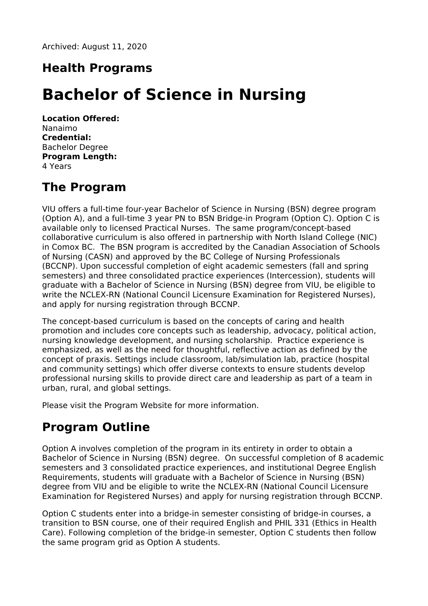Archived: August 11, 2020

# **Health Programs**

# **Bachelor of Science in Nursing**

**Location Offered:** Nanaimo **Credential:** Bachelor Degree **Program Length:** 4 Years

# **The Program**

VIU offers a full-time four-year Bachelor of Science in Nursing (BSN) degree program (Option A), and a full-time 3 year PN to BSN Bridge-in Program (Option C). Option C is available only to licensed Practical Nurses. The same program/concept-based collaborative curriculum is also offered in partnership with North Island College (NIC) in Comox BC. The BSN program is accredited by the Canadian Association of Schools of Nursing (CASN) and approved by the BC College of Nursing Professionals (BCCNP). Upon successful completion of eight academic semesters (fall and spring semesters) and three consolidated practice experiences (Intercession), students will graduate with a Bachelor of Science in Nursing (BSN) degree from VIU, be eligible to write the NCLEX-RN (National Council Licensure Examination for Registered Nurses), and apply for nursing registration through BCCNP.

The concept-based curriculum is based on the concepts of caring and health promotion and includes core concepts such as leadership, advocacy, political action, nursing knowledge development, and nursing scholarship. Practice experience is emphasized, as well as the need for thoughtful, reflective action as defined by the concept of praxis. Settings include classroom, lab/simulation lab, practice (hospital and community settings) which offer diverse contexts to ensure students develop professional nursing skills to provide direct care and leadership as part of a team in urban, rural, and global settings.

Please visit the Program Website for more information.

# **Program Outline**

Option A involves completion of the program in its entirety in order to obtain a Bachelor of Science in Nursing (BSN) degree. On successful completion of 8 academic semesters and 3 consolidated practice experiences, and institutional Degree English Requirements, students will graduate with a Bachelor of Science in Nursing (BSN) degree from VIU and be eligible to write the NCLEX-RN (National Council Licensure Examination for Registered Nurses) and apply for nursing registration through BCCNP.

Option C students enter into a bridge-in semester consisting of bridge-in courses, a transition to BSN course, one of their required English and PHIL 331 (Ethics in Health Care). Following completion of the bridge-in semester, Option C students then follow the same program grid as Option A students.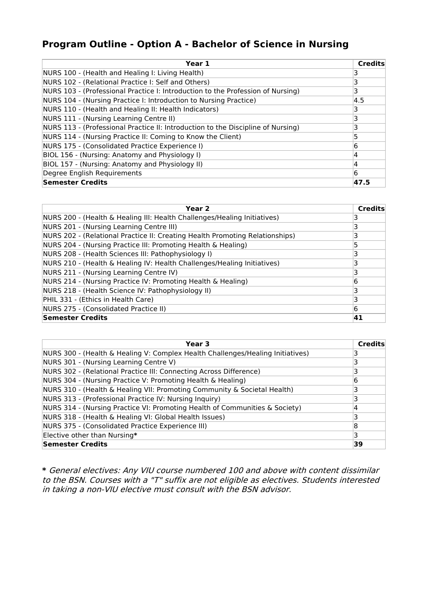### **Program Outline - Option A - Bachelor of Science in Nursing**

| Year 1                                                                           | <b>Credits</b> |
|----------------------------------------------------------------------------------|----------------|
| NURS 100 - (Health and Healing I: Living Health)                                 |                |
| NURS 102 - (Relational Practice I: Self and Others)                              | 3              |
| NURS 103 - (Professional Practice I: Introduction to the Profession of Nursing)  | 3              |
| NURS 104 - (Nursing Practice I: Introduction to Nursing Practice)                | 4.5            |
| NURS 110 - (Health and Healing II: Health Indicators)                            | 3              |
| NURS 111 - (Nursing Learning Centre II)                                          | 3              |
| NURS 113 - (Professional Practice II: Introduction to the Discipline of Nursing) | 3              |
| NURS 114 - (Nursing Practice II: Coming to Know the Client)                      |                |
| NURS 175 - (Consolidated Practice Experience I)                                  | 6              |
| BIOL 156 - (Nursing: Anatomy and Physiology I)                                   | 14             |
| BIOL 157 - (Nursing: Anatomy and Physiology II)                                  | 4              |
| Degree English Requirements                                                      | 6              |
| Semester Credits                                                                 | 47.5           |

| Year <sub>2</sub>                                                            | <b>Credits</b> |
|------------------------------------------------------------------------------|----------------|
| NURS 200 - (Health & Healing III: Health Challenges/Healing Initiatives)     |                |
| NURS 201 - (Nursing Learning Centre III)                                     |                |
| NURS 202 - (Relational Practice II: Creating Health Promoting Relationships) |                |
| NURS 204 - (Nursing Practice III: Promoting Health & Healing)                |                |
| NURS 208 - (Health Sciences III: Pathophysiology I)                          |                |
| NURS 210 - (Health & Healing IV: Health Challenges/Healing Initiatives)      | 3              |
| NURS 211 - (Nursing Learning Centre IV)                                      |                |
| NURS 214 - (Nursing Practice IV: Promoting Health & Healing)                 | 6              |
| NURS 218 - (Health Science IV: Pathophysiology II)                           |                |
| PHIL 331 - (Ethics in Health Care)                                           |                |
| NURS 275 - (Consolidated Practice II)                                        | 6              |
| Semester Credits                                                             | 41             |

| Year 3                                                                         | <b>Credits</b> |
|--------------------------------------------------------------------------------|----------------|
| NURS 300 - (Health & Healing V: Complex Health Challenges/Healing Initiatives) |                |
| NURS 301 - (Nursing Learning Centre V)                                         |                |
| NURS 302 - (Relational Practice III: Connecting Across Difference)             |                |
| NURS 304 - (Nursing Practice V: Promoting Health & Healing)                    | 6              |
| NURS 310 - (Health & Healing VII: Promoting Community & Societal Health)       |                |
| NURS 313 - (Professional Practice IV: Nursing Inquiry)                         |                |
| NURS 314 - (Nursing Practice VI: Promoting Health of Communities & Society)    |                |
| NURS 318 - (Health & Healing VI: Global Health Issues)                         |                |
| NURS 375 - (Consolidated Practice Experience III)                              | 8              |
| Elective other than Nursing*                                                   | 3              |
| Semester Credits                                                               | 39             |

**\*** General electives: Any VIU course numbered 100 and above with content dissimilar to the BSN. Courses with <sup>a</sup> "T" suffix are not eligible as electives. Students interested in taking <sup>a</sup> non-VIU elective must consult with the BSN advisor.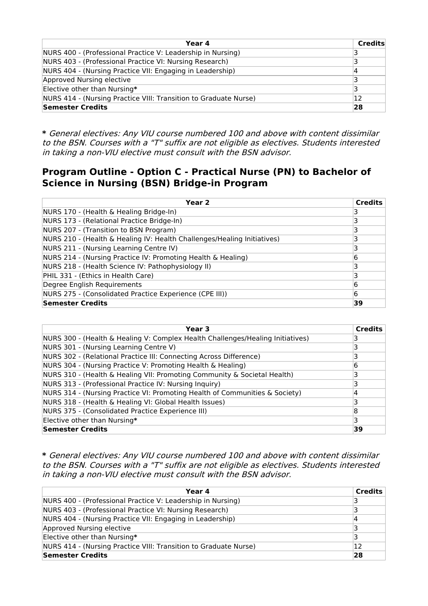| Year 4                                                           | <b>Credits</b> |
|------------------------------------------------------------------|----------------|
| NURS 400 - (Professional Practice V: Leadership in Nursing)      |                |
| NURS 403 - (Professional Practice VI: Nursing Research)          |                |
| NURS 404 - (Nursing Practice VII: Engaging in Leadership)        |                |
| Approved Nursing elective                                        |                |
| Elective other than Nursing*                                     | 3              |
| NURS 414 - (Nursing Practice VIII: Transition to Graduate Nurse) | 12             |
| <b>Semester Credits</b>                                          | 28             |

**\*** General electives: Any VIU course numbered 100 and above with content dissimilar to the BSN. Courses with <sup>a</sup> "T" suffix are not eligible as electives. Students interested in taking <sup>a</sup> non-VIU elective must consult with the BSN advisor.

### **Program Outline - Option C - Practical Nurse (PN) to Bachelor of Science in Nursing (BSN) Bridge-in Program**

| Year 2                                                                  | <b>Credits</b> |
|-------------------------------------------------------------------------|----------------|
| NURS 170 - (Health & Healing Bridge-In)                                 |                |
| NURS 173 - (Relational Practice Bridge-In)                              |                |
| NURS 207 - (Transition to BSN Program)                                  |                |
| NURS 210 - (Health & Healing IV: Health Challenges/Healing Initiatives) | 3              |
| NURS 211 - (Nursing Learning Centre IV)                                 |                |
| NURS 214 - (Nursing Practice IV: Promoting Health & Healing)            | 6              |
| NURS 218 - (Health Science IV: Pathophysiology II)                      |                |
| PHIL 331 - (Ethics in Health Care)                                      |                |
| Degree English Requirements                                             | 6              |
| NURS 275 - (Consolidated Practice Experience (CPE III))                 | 6              |
| <b>Semester Credits</b>                                                 | 39             |

| Year 3                                                                         | <b>Credits</b> |
|--------------------------------------------------------------------------------|----------------|
| NURS 300 - (Health & Healing V: Complex Health Challenges/Healing Initiatives) |                |
| NURS 301 - (Nursing Learning Centre V)                                         |                |
| NURS 302 - (Relational Practice III: Connecting Across Difference)             |                |
| NURS 304 - (Nursing Practice V: Promoting Health & Healing)                    | 6              |
| NURS 310 - (Health & Healing VII: Promoting Community & Societal Health)       |                |
| NURS 313 - (Professional Practice IV: Nursing Inquiry)                         |                |
| NURS 314 - (Nursing Practice VI: Promoting Health of Communities & Society)    | 4              |
| NURS 318 - (Health & Healing VI: Global Health Issues)                         |                |
| NURS 375 - (Consolidated Practice Experience III)                              | 8              |
| Elective other than Nursing*                                                   | 3              |
| <b>Semester Credits</b>                                                        | 39             |

**\*** General electives: Any VIU course numbered 100 and above with content dissimilar to the BSN. Courses with <sup>a</sup> "T" suffix are not eligible as electives. Students interested in taking <sup>a</sup> non-VIU elective must consult with the BSN advisor.

| Year 4                                                           | Credits |
|------------------------------------------------------------------|---------|
| NURS 400 - (Professional Practice V: Leadership in Nursing)      | 3       |
| NURS 403 - (Professional Practice VI: Nursing Research)          | 3       |
| NURS 404 - (Nursing Practice VII: Engaging in Leadership)        | 4       |
| Approved Nursing elective                                        | 3       |
| Elective other than Nursing*                                     | 3       |
| NURS 414 - (Nursing Practice VIII: Transition to Graduate Nurse) | 12      |
| <b>Semester Credits</b>                                          | 28      |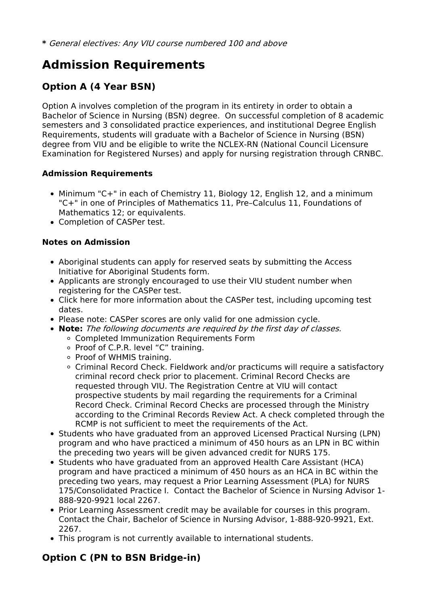# **Admission Requirements**

## **Option A (4 Year BSN)**

Option A involves completion of the program in its entirety in order to obtain a Bachelor of Science in Nursing (BSN) degree. On successful completion of 8 academic semesters and 3 consolidated practice experiences, and institutional Degree English Requirements, students will graduate with a Bachelor of Science in Nursing (BSN) degree from VIU and be eligible to write the NCLEX-RN (National Council Licensure Examination for Registered Nurses) and apply for nursing registration through CRNBC.

#### **Admission Requirements**

- Minimum "C+" in each of Chemistry 11, Biology 12, English 12, and a minimum "C+" in one of Principles of Mathematics 11, Pre–Calculus 11, Foundations of Mathematics 12; or equivalents.
- Completion of CASPer test.

#### **Notes on Admission**

- Aboriginal students can apply for reserved seats by submitting the Access Initiative for Aboriginal Students form.
- Applicants are strongly encouraged to use their VIU student number when registering for the CASPer test.
- Click here for more information about the CASPer test, including upcoming test dates.
- Please note: CASPer scores are only valid for one admission cycle.
- **Note:** The following documents are required by the first day of classes.
	- Completed Immunization Requirements Form
	- Proof of C.P.R. level "C" training.
	- Proof of WHMIS training.
	- Criminal Record Check. Fieldwork and/or practicums will require a satisfactory criminal record check prior to placement. Criminal Record Checks are requested through VIU. The Registration Centre at VIU will contact prospective students by mail regarding the requirements for a Criminal Record Check. Criminal Record Checks are processed through the Ministry according to the Criminal Records Review Act. A check completed through the RCMP is not sufficient to meet the requirements of the Act.
- Students who have graduated from an approved Licensed Practical Nursing (LPN) program and who have practiced a minimum of 450 hours as an LPN in BC within the preceding two years will be given advanced credit for NURS 175.
- Students who have graduated from an approved Health Care Assistant (HCA) program and have practiced a minimum of 450 hours as an HCA in BC within the preceding two years, may request a Prior Learning Assessment (PLA) for NURS 175/Consolidated Practice I. Contact the Bachelor of Science in Nursing Advisor 1- 888-920-9921 local 2267.
- Prior Learning Assessment credit may be available for courses in this program. Contact the Chair, Bachelor of Science in Nursing Advisor, 1-888-920-9921, Ext. 2267.
- This program is not currently available to international students.

### **Option C (PN to BSN Bridge-in)**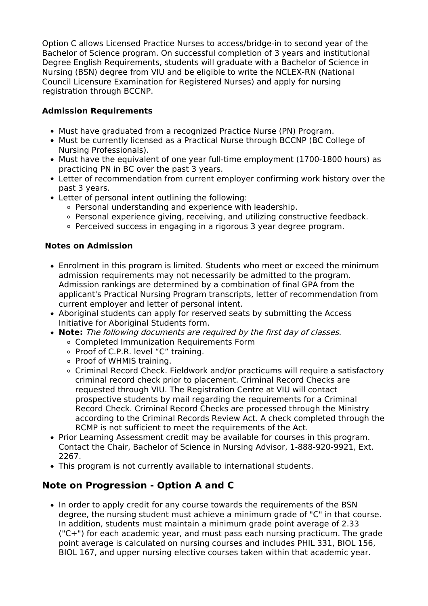Option C allows Licensed Practice Nurses to access/bridge-in to second year of the Bachelor of Science program. On successful completion of 3 years and institutional Degree English Requirements, students will graduate with a Bachelor of Science in Nursing (BSN) degree from VIU and be eligible to write the NCLEX-RN (National Council Licensure Examination for Registered Nurses) and apply for nursing registration through BCCNP.

#### **Admission Requirements**

- Must have graduated from a recognized Practice Nurse (PN) Program.
- Must be currently licensed as a Practical Nurse through BCCNP (BC College of Nursing Professionals).
- Must have the equivalent of one year full-time employment (1700-1800 hours) as practicing PN in BC over the past 3 years.
- Letter of recommendation from current employer confirming work history over the past 3 years.
- Letter of personal intent outlining the following:
	- Personal understanding and experience with leadership.
	- Personal experience giving, receiving, and utilizing constructive feedback.
	- $\circ$  Perceived success in engaging in a rigorous 3 year degree program.

#### **Notes on Admission**

- Enrolment in this program is limited. Students who meet or exceed the minimum admission requirements may not necessarily be admitted to the program. Admission rankings are determined by a combination of final GPA from the applicant's Practical Nursing Program transcripts, letter of recommendation from current employer and letter of personal intent.
- Aboriginal students can apply for reserved seats by submitting the Access Initiative for Aboriginal Students form.
- **Note:** The following documents are required by the first day of classes.
	- Completed Immunization Requirements Form
	- Proof of C.P.R. level "C" training.
	- Proof of WHMIS training.
	- Criminal Record Check. Fieldwork and/or practicums will require a satisfactory criminal record check prior to placement. Criminal Record Checks are requested through VIU. The Registration Centre at VIU will contact prospective students by mail regarding the requirements for a Criminal Record Check. Criminal Record Checks are processed through the Ministry according to the Criminal Records Review Act. A check completed through the RCMP is not sufficient to meet the requirements of the Act.
- Prior Learning Assessment credit may be available for courses in this program. Contact the Chair, Bachelor of Science in Nursing Advisor, 1-888-920-9921, Ext. 2267.
- This program is not currently available to international students.

### **Note on Progression - Option A and C**

• In order to apply credit for any course towards the requirements of the BSN degree, the nursing student must achieve a minimum grade of "C" in that course. In addition, students must maintain a minimum grade point average of 2.33 ("C+") for each academic year, and must pass each nursing practicum. The grade point average is calculated on nursing courses and includes PHIL 331, BIOL 156, BIOL 167, and upper nursing elective courses taken within that academic year.